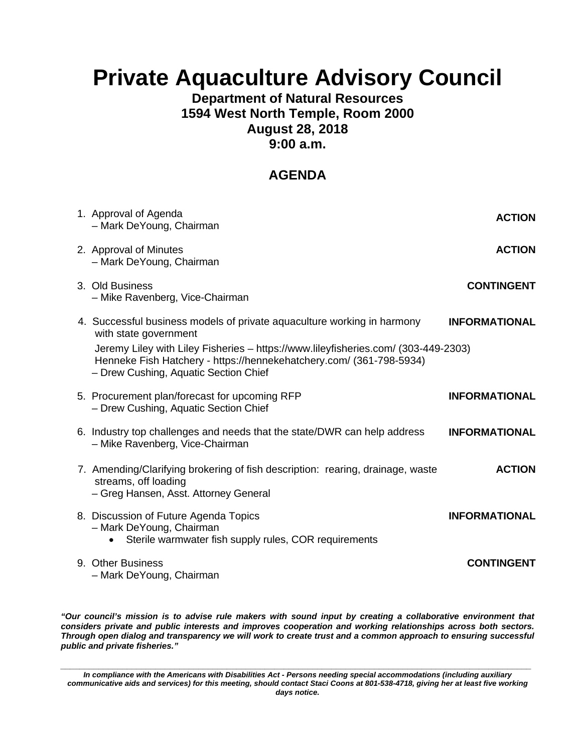# **Private Aquaculture Advisory Council**

# **Department of Natural Resources 1594 West North Temple, Room 2000 August 28, 2018 9:00 a.m.**

# **AGENDA**

| 1. Approval of Agenda<br>- Mark DeYoung, Chairman                                                                                                                                                                                                                                                      | <b>ACTION</b>        |
|--------------------------------------------------------------------------------------------------------------------------------------------------------------------------------------------------------------------------------------------------------------------------------------------------------|----------------------|
| 2. Approval of Minutes<br>- Mark DeYoung, Chairman                                                                                                                                                                                                                                                     | <b>ACTION</b>        |
| 3. Old Business<br>- Mike Ravenberg, Vice-Chairman                                                                                                                                                                                                                                                     | <b>CONTINGENT</b>    |
| 4. Successful business models of private aquaculture working in harmony<br>with state government<br>Jeremy Liley with Liley Fisheries - https://www.lileyfisheries.com/ (303-449-2303)<br>Henneke Fish Hatchery - https://hennekehatchery.com/ (361-798-5934)<br>- Drew Cushing, Aquatic Section Chief | <b>INFORMATIONAL</b> |
| 5. Procurement plan/forecast for upcoming RFP<br>- Drew Cushing, Aquatic Section Chief                                                                                                                                                                                                                 | <b>INFORMATIONAL</b> |
| 6. Industry top challenges and needs that the state/DWR can help address<br>- Mike Ravenberg, Vice-Chairman                                                                                                                                                                                            | <b>INFORMATIONAL</b> |
| 7. Amending/Clarifying brokering of fish description: rearing, drainage, waste<br>streams, off loading<br>- Greg Hansen, Asst. Attorney General                                                                                                                                                        | <b>ACTION</b>        |
| 8. Discussion of Future Agenda Topics<br>- Mark DeYoung, Chairman<br>Sterile warmwater fish supply rules, COR requirements                                                                                                                                                                             | <b>INFORMATIONAL</b> |
| 9. Other Business<br>- Mark DeYoung, Chairman                                                                                                                                                                                                                                                          | <b>CONTINGENT</b>    |

*"Our council's mission is to advise rule makers with sound input by creating a collaborative environment that considers private and public interests and improves cooperation and working relationships across both sectors. Through open dialog and transparency we will work to create trust and a common approach to ensuring successful public and private fisheries."* 

*\_\_\_\_\_\_\_\_\_\_\_\_\_\_\_\_\_\_\_\_\_\_\_\_\_\_\_\_\_\_\_\_\_\_\_\_\_\_\_\_\_\_\_\_\_\_\_\_\_\_\_\_\_\_\_\_\_\_\_\_\_\_\_\_\_\_\_\_\_\_\_\_\_\_\_\_\_\_\_\_\_\_\_\_\_\_\_\_\_\_\_\_\_\_\_\_\_\_\_ In compliance with the Americans with Disabilities Act - Persons needing special accommodations (including auxiliary communicative aids and services) for this meeting, should contact Staci Coons at 801-538-4718, giving her at least five working days notice.*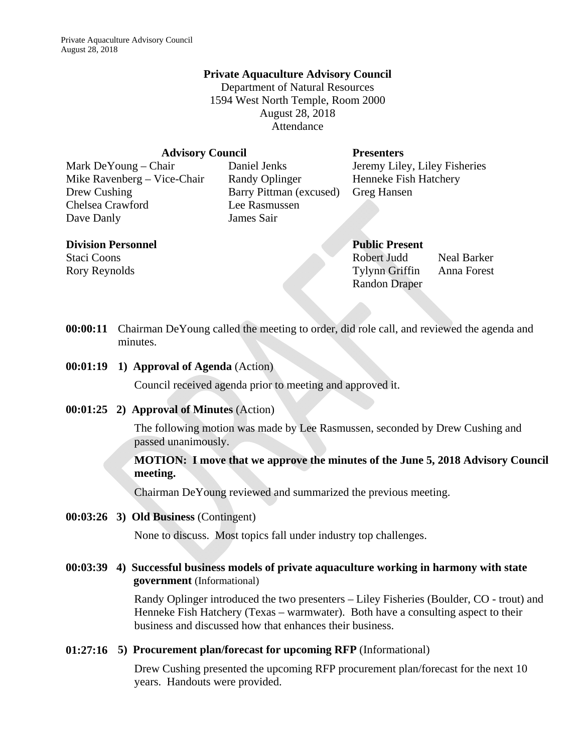#### **Private Aquaculture Advisory Council**

Department of Natural Resources 1594 West North Temple, Room 2000 August 28, 2018 Attendance

#### **Advisory Council Presenters**

Mike Ravenberg – Vice-Chair Randy Oplinger Henneke Fish Hatchery Drew Cushing Barry Pittman (excused) Greg Hansen Chelsea Crawford Lee Rasmussen Dave Danly James Sair

Mark DeYoung – Chair Daniel Jenks Jeremy Liley, Liley Fisheries

#### **Division Personnel Public Present**

# Staci Coons Robert Judd Neal Barker Rory Reynolds Tylynn Griffin Anna Forest Randon Draper

**00:00:11** Chairman DeYoung called the meeting to order, did role call, and reviewed the agenda and minutes.

**00:01:19 1) Approval of Agenda** (Action)

Council received agenda prior to meeting and approved it.

**00:01:25 2) Approval of Minutes** (Action)

The following motion was made by Lee Rasmussen, seconded by Drew Cushing and passed unanimously.

#### **MOTION: I move that we approve the minutes of the June 5, 2018 Advisory Council meeting.**

Chairman DeYoung reviewed and summarized the previous meeting.

#### **00:03:26 3) Old Business** (Contingent)

None to discuss. Most topics fall under industry top challenges.

**00:03:39 4) Successful business models of private aquaculture working in harmony with state government** (Informational)

> Randy Oplinger introduced the two presenters – Liley Fisheries (Boulder, CO - trout) and Henneke Fish Hatchery (Texas – warmwater). Both have a consulting aspect to their business and discussed how that enhances their business.

#### **01:27:16 5) Procurement plan/forecast for upcoming RFP** (Informational)

Drew Cushing presented the upcoming RFP procurement plan/forecast for the next 10 years. Handouts were provided.